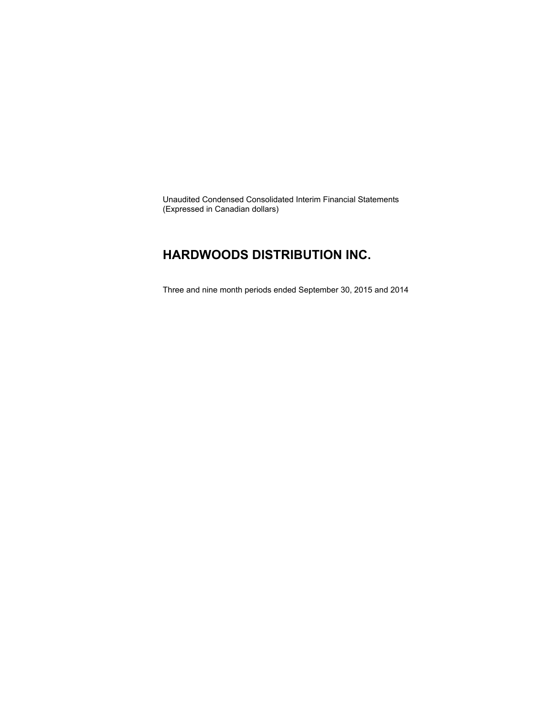Unaudited Condensed Consolidated Interim Financial Statements (Expressed in Canadian dollars)

### **HARDWOODS DISTRIBUTION INC.**

Three and nine month periods ended September 30, 2015 and 2014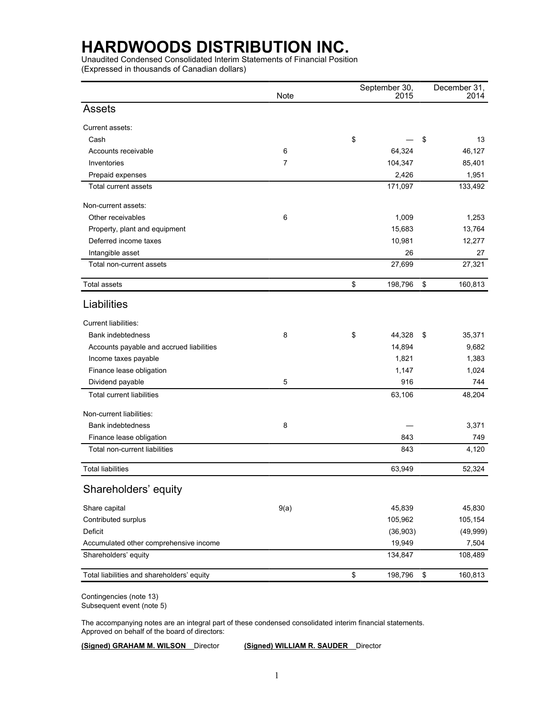Unaudited Condensed Consolidated Interim Statements of Financial Position (Expressed in thousands of Canadian dollars)

|                                            | <b>Note</b> | September 30,<br>2015 | December 31,<br>2014 |
|--------------------------------------------|-------------|-----------------------|----------------------|
| <b>Assets</b>                              |             |                       |                      |
| Current assets:                            |             |                       |                      |
| Cash                                       |             | \$                    | \$<br>13             |
| Accounts receivable                        | 6           | 64,324                | 46,127               |
| Inventories                                | 7           | 104,347               | 85,401               |
| Prepaid expenses                           |             | 2,426                 | 1,951                |
| Total current assets                       |             | 171,097               | 133,492              |
| Non-current assets:                        |             |                       |                      |
| Other receivables                          | 6           | 1,009                 | 1,253                |
| Property, plant and equipment              |             | 15,683                | 13,764               |
| Deferred income taxes                      |             | 10,981                | 12,277               |
| Intangible asset                           |             | 26                    | 27                   |
| Total non-current assets                   |             | 27,699                | 27,321               |
| <b>Total assets</b>                        |             | \$<br>198,796         | \$<br>160,813        |
| Liabilities                                |             |                       |                      |
| Current liabilities:                       |             |                       |                      |
| Bank indebtedness                          | 8           | \$<br>44,328          | \$<br>35,371         |
| Accounts payable and accrued liabilities   |             | 14,894                | 9,682                |
| Income taxes payable                       |             | 1,821                 | 1,383                |
| Finance lease obligation                   |             | 1,147                 | 1,024                |
| Dividend payable                           | 5           | 916                   | 744                  |
| <b>Total current liabilities</b>           |             | 63,106                | 48,204               |
| Non-current liabilities:                   |             |                       |                      |
| Bank indebtedness                          | 8           |                       | 3,371                |
| Finance lease obligation                   |             | 843                   | 749                  |
| Total non-current liabilities              |             | 843                   | 4,120                |
| <b>Total liabilities</b>                   |             | 63,949                | 52,324               |
| Shareholders' equity                       |             |                       |                      |
| Share capital                              | 9(a)        | 45,839                | 45,830               |
| Contributed surplus                        |             | 105,962               | 105,154              |
| Deficit                                    |             | (36, 903)             | (49, 999)            |
| Accumulated other comprehensive income     |             | 19,949                | 7,504                |
| Shareholders' equity                       |             | 134,847               | 108,489              |
| Total liabilities and shareholders' equity |             | \$<br>198,796         | \$<br>160,813        |

Contingencies (note 13) Subsequent event (note 5)

The accompanying notes are an integral part of these condensed consolidated interim financial statements. Approved on behalf of the board of directors:

**(Signed) GRAHAM M. WILSON** Director **(Signed) WILLIAM R. SAUDER** Director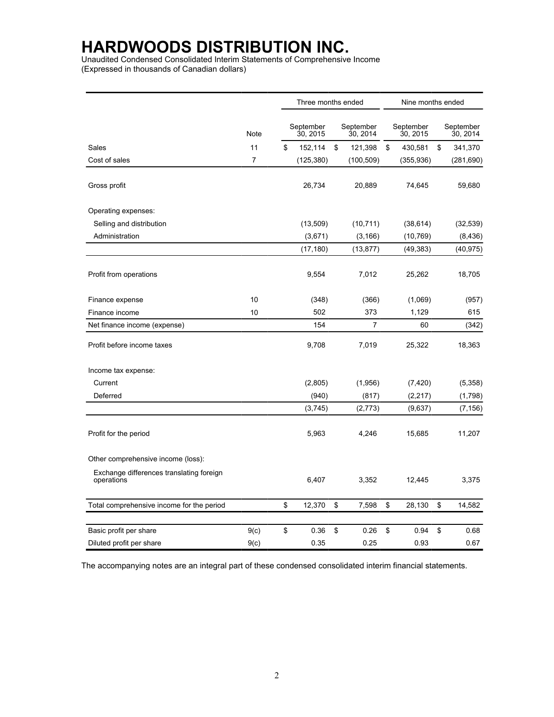Unaudited Condensed Consolidated Interim Statements of Comprehensive Income (Expressed in thousands of Canadian dollars)

|                                                        |              | Three months ended    |    |                       |    |                       | Nine months ended |                       |  |  |
|--------------------------------------------------------|--------------|-----------------------|----|-----------------------|----|-----------------------|-------------------|-----------------------|--|--|
|                                                        | Note         | September<br>30, 2015 |    | September<br>30, 2014 |    | September<br>30, 2015 |                   | September<br>30, 2014 |  |  |
| Sales                                                  | 11           | \$<br>152,114         | \$ | 121,398               | \$ | 430,581               | \$                | 341,370               |  |  |
| Cost of sales                                          | 7            | (125, 380)            |    | (100, 509)            |    | (355, 936)            |                   | (281, 690)            |  |  |
| Gross profit                                           |              | 26,734                |    | 20,889                |    | 74,645                |                   | 59,680                |  |  |
| Operating expenses:                                    |              |                       |    |                       |    |                       |                   |                       |  |  |
| Selling and distribution                               |              | (13,509)              |    | (10, 711)             |    | (38, 614)             |                   | (32, 539)             |  |  |
| Administration                                         |              | (3,671)               |    | (3, 166)              |    | (10, 769)             |                   | (8, 436)              |  |  |
|                                                        |              | (17, 180)             |    | (13, 877)             |    | (49, 383)             |                   | (40, 975)             |  |  |
| Profit from operations                                 |              | 9,554                 |    | 7,012                 |    | 25,262                |                   | 18,705                |  |  |
| Finance expense                                        | 10           | (348)                 |    | (366)                 |    | (1,069)               |                   | (957)                 |  |  |
| Finance income                                         | 10           | 502                   |    | 373                   |    | 1,129                 |                   | 615                   |  |  |
| Net finance income (expense)                           |              | 154                   |    | 7                     |    | 60                    |                   | (342)                 |  |  |
| Profit before income taxes                             |              | 9,708                 |    | 7,019                 |    | 25,322                |                   | 18,363                |  |  |
| Income tax expense:                                    |              |                       |    |                       |    |                       |                   |                       |  |  |
| Current                                                |              | (2,805)               |    | (1,956)               |    | (7, 420)              |                   | (5,358)               |  |  |
| Deferred                                               |              | (940)                 |    | (817)                 |    | (2, 217)              |                   | (1,798)               |  |  |
|                                                        |              | (3,745)               |    | (2,773)               |    | (9,637)               |                   | (7, 156)              |  |  |
| Profit for the period                                  |              | 5,963                 |    | 4,246                 |    | 15,685                |                   | 11,207                |  |  |
| Other comprehensive income (loss):                     |              |                       |    |                       |    |                       |                   |                       |  |  |
| Exchange differences translating foreign<br>operations |              | 6,407                 |    | 3,352                 |    | 12,445                |                   | 3,375                 |  |  |
| Total comprehensive income for the period              |              | \$<br>12,370          | \$ | 7,598                 | \$ | 28,130                | \$                | 14,582                |  |  |
|                                                        |              | \$<br>0.36            | \$ | 0.26                  | \$ | 0.94                  | \$                | 0.68                  |  |  |
| Basic profit per share<br>Diluted profit per share     | 9(c)<br>9(c) | 0.35                  |    | 0.25                  |    | 0.93                  |                   | 0.67                  |  |  |

The accompanying notes are an integral part of these condensed consolidated interim financial statements.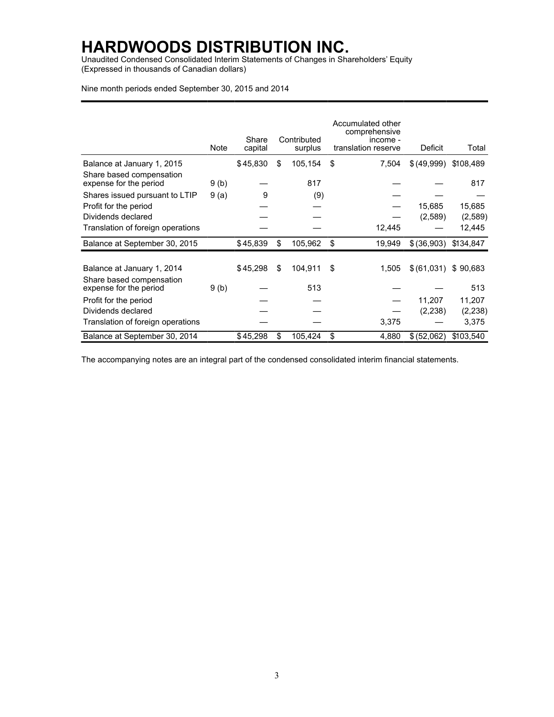Unaudited Condensed Consolidated Interim Statements of Changes in Shareholders' Equity (Expressed in thousands of Canadian dollars)

Nine month periods ended September 30, 2015 and 2014

|                                                    |      | Share    | Contributed   | Accumulated other<br>comprehensive<br>income - |             |           |
|----------------------------------------------------|------|----------|---------------|------------------------------------------------|-------------|-----------|
|                                                    | Note | capital  | surplus       | translation reserve                            | Deficit     | Total     |
| Balance at January 1, 2015                         |      | \$45,830 | \$<br>105,154 | \$<br>7,504                                    | \$(49,999)  | \$108,489 |
| Share based compensation<br>expense for the period | 9(b) |          | 817           |                                                |             | 817       |
| Shares issued pursuant to LTIP                     | 9(a) | 9        | (9)           |                                                |             |           |
| Profit for the period                              |      |          |               |                                                | 15,685      | 15,685    |
| Dividends declared                                 |      |          |               |                                                | (2,589)     | (2,589)   |
| Translation of foreign operations                  |      |          |               | 12,445                                         |             | 12,445    |
| Balance at September 30, 2015                      |      | \$45,839 | \$<br>105,962 | \$<br>19,949                                   | \$(36,903)  | \$134,847 |
|                                                    |      |          |               |                                                |             |           |
| Balance at January 1, 2014                         |      | \$45,298 | \$<br>104,911 | \$<br>1,505                                    | \$ (61,031) | \$90,683  |
| Share based compensation<br>expense for the period | 9(b) |          | 513           |                                                |             | 513       |
| Profit for the period                              |      |          |               |                                                | 11,207      | 11,207    |
| Dividends declared                                 |      |          |               |                                                | (2, 238)    | (2, 238)  |
| Translation of foreign operations                  |      |          |               | 3,375                                          |             | 3,375     |
| Balance at September 30, 2014                      |      | \$45,298 | \$<br>105,424 | \$<br>4,880                                    | \$(52,062)  | \$103,540 |

The accompanying notes are an integral part of the condensed consolidated interim financial statements.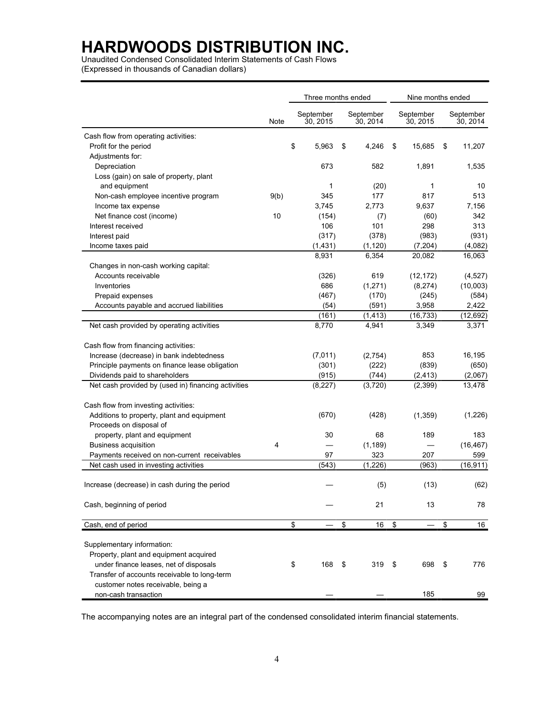Unaudited Condensed Consolidated Interim Statements of Cash Flows (Expressed in thousands of Canadian dollars)

|                                                     |      | Three months ended |                       |    | Nine months ended     |                       |                       |
|-----------------------------------------------------|------|--------------------|-----------------------|----|-----------------------|-----------------------|-----------------------|
|                                                     | Note |                    | September<br>30, 2015 |    | September<br>30, 2014 | September<br>30, 2015 | September<br>30, 2014 |
| Cash flow from operating activities:                |      |                    |                       |    |                       |                       |                       |
| Profit for the period                               |      | \$                 | 5,963                 | \$ | 4,246                 | \$<br>15,685          | \$<br>11,207          |
| Adjustments for:                                    |      |                    |                       |    |                       |                       |                       |
| Depreciation                                        |      |                    | 673                   |    | 582                   | 1,891                 | 1,535                 |
| Loss (gain) on sale of property, plant              |      |                    |                       |    |                       |                       |                       |
| and equipment                                       |      |                    | 1                     |    | (20)                  | 1                     | 10                    |
| Non-cash employee incentive program                 | 9(b) |                    | 345                   |    | 177                   | 817                   | 513                   |
| Income tax expense                                  |      |                    | 3,745                 |    | 2,773                 | 9,637                 | 7,156                 |
| Net finance cost (income)                           | 10   |                    | (154)                 |    | (7)                   | (60)                  | 342                   |
| Interest received                                   |      |                    | 106                   |    | 101                   | 298                   | 313                   |
| Interest paid                                       |      |                    | (317)                 |    | (378)                 | (983)                 | (931)                 |
| Income taxes paid                                   |      |                    | (1, 431)              |    | (1, 120)              | (7, 204)              | (4,082)               |
|                                                     |      |                    | 8,931                 |    | 6,354                 | 20,082                | 16,063                |
| Changes in non-cash working capital:                |      |                    |                       |    |                       |                       |                       |
| Accounts receivable                                 |      |                    | (326)                 |    | 619                   | (12, 172)             | (4,527)               |
| Inventories                                         |      |                    | 686                   |    | (1,271)               | (8,274)               | (10,003)              |
| Prepaid expenses                                    |      |                    | (467)                 |    | (170)                 | (245)                 | (584)                 |
| Accounts payable and accrued liabilities            |      |                    | (54)                  |    | (591)                 | 3,958                 | 2,422                 |
|                                                     |      |                    | (161)                 |    | (1, 413)              | (16, 733)             | (12, 692)             |
| Net cash provided by operating activities           |      |                    | 8,770                 |    | 4,941                 | 3,349                 | 3,371                 |
| Cash flow from financing activities:                |      |                    |                       |    |                       |                       |                       |
| Increase (decrease) in bank indebtedness            |      |                    | (7,011)               |    | (2,754)               | 853                   | 16,195                |
| Principle payments on finance lease obligation      |      |                    | (301)                 |    | (222)                 | (839)                 | (650)                 |
| Dividends paid to shareholders                      |      |                    | (915)                 |    | (744)                 | (2, 413)              | (2,067)               |
| Net cash provided by (used in) financing activities |      |                    | (8,227)               |    | (3,720)               | (2,399)               | 13,478                |
| Cash flow from investing activities:                |      |                    |                       |    |                       |                       |                       |
| Additions to property, plant and equipment          |      |                    | (670)                 |    | (428)                 | (1,359)               | (1,226)               |
| Proceeds on disposal of                             |      |                    |                       |    |                       |                       |                       |
| property, plant and equipment                       |      |                    | 30                    |    | 68                    | 189                   | 183                   |
| <b>Business acquisition</b>                         | 4    |                    |                       |    | (1, 189)              |                       | (16, 467)             |
| Payments received on non-current receivables        |      |                    | 97                    |    | 323                   | 207                   | 599                   |
| Net cash used in investing activities               |      |                    | (543)                 |    | (1, 226)              | (963)                 | (16, 911)             |
| Increase (decrease) in cash during the period       |      |                    |                       |    | (5)                   | (13)                  | (62)                  |
| Cash, beginning of period                           |      |                    |                       |    | 21                    | 13                    | 78                    |
| Cash, end of period                                 |      | \$                 |                       | \$ | 16                    | \$                    | \$<br>16              |
|                                                     |      |                    |                       |    |                       |                       |                       |
| Supplementary information:                          |      |                    |                       |    |                       |                       |                       |
| Property, plant and equipment acquired              |      |                    |                       |    |                       |                       |                       |
| under finance leases, net of disposals              |      | \$                 | 168                   | \$ | 319                   | \$<br>698             | \$<br>776             |
| Transfer of accounts receivable to long-term        |      |                    |                       |    |                       |                       |                       |
| customer notes receivable, being a                  |      |                    |                       |    |                       |                       |                       |
| non-cash transaction                                |      |                    |                       |    |                       | 185                   | 99                    |

The accompanying notes are an integral part of the condensed consolidated interim financial statements.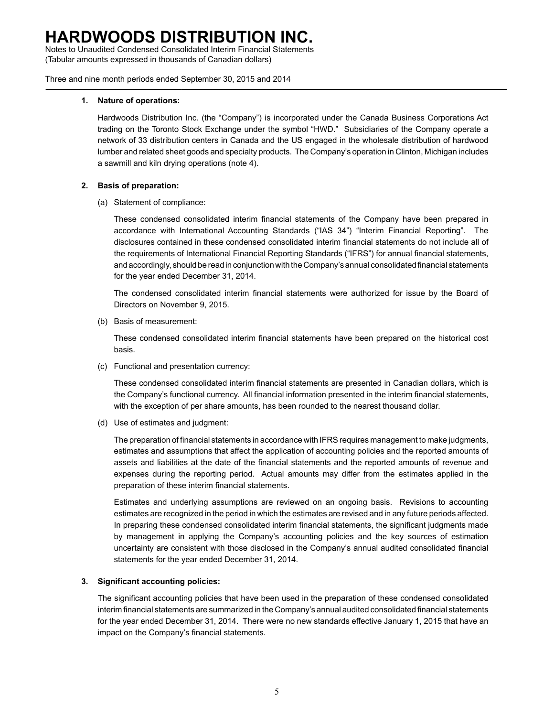Notes to Unaudited Condensed Consolidated Interim Financial Statements (Tabular amounts expressed in thousands of Canadian dollars)

Three and nine month periods ended September 30, 2015 and 2014

#### **1. Nature of operations:**

Hardwoods Distribution Inc. (the "Company") is incorporated under the Canada Business Corporations Act trading on the Toronto Stock Exchange under the symbol "HWD." Subsidiaries of the Company operate a network of 33 distribution centers in Canada and the US engaged in the wholesale distribution of hardwood lumber and related sheet goods and specialty products. The Company's operation in Clinton, Michigan includes a sawmill and kiln drying operations (note 4).

#### **2. Basis of preparation:**

(a) Statement of compliance:

These condensed consolidated interim financial statements of the Company have been prepared in accordance with International Accounting Standards ("IAS 34") "Interim Financial Reporting". The disclosures contained in these condensed consolidated interim financial statements do not include all of the requirements of International Financial Reporting Standards ("IFRS") for annual financial statements, and accordingly, should be read in conjunction with the Company's annual consolidated financial statements for the year ended December 31, 2014.

The condensed consolidated interim financial statements were authorized for issue by the Board of Directors on November 9, 2015.

(b) Basis of measurement:

These condensed consolidated interim financial statements have been prepared on the historical cost basis.

(c) Functional and presentation currency:

These condensed consolidated interim financial statements are presented in Canadian dollars, which is the Company's functional currency. All financial information presented in the interim financial statements, with the exception of per share amounts, has been rounded to the nearest thousand dollar.

(d) Use of estimates and judgment:

The preparation of financial statements in accordance with IFRS requires management to make judgments, estimates and assumptions that affect the application of accounting policies and the reported amounts of assets and liabilities at the date of the financial statements and the reported amounts of revenue and expenses during the reporting period. Actual amounts may differ from the estimates applied in the preparation of these interim financial statements.

Estimates and underlying assumptions are reviewed on an ongoing basis. Revisions to accounting estimates are recognized in the period in which the estimates are revised and in any future periods affected. In preparing these condensed consolidated interim financial statements, the significant judgments made by management in applying the Company's accounting policies and the key sources of estimation uncertainty are consistent with those disclosed in the Company's annual audited consolidated financial statements for the year ended December 31, 2014.

#### **3. Significant accounting policies:**

The significant accounting policies that have been used in the preparation of these condensed consolidated interim financial statements are summarized in the Company's annual audited consolidated financial statements for the year ended December 31, 2014. There were no new standards effective January 1, 2015 that have an impact on the Company's financial statements.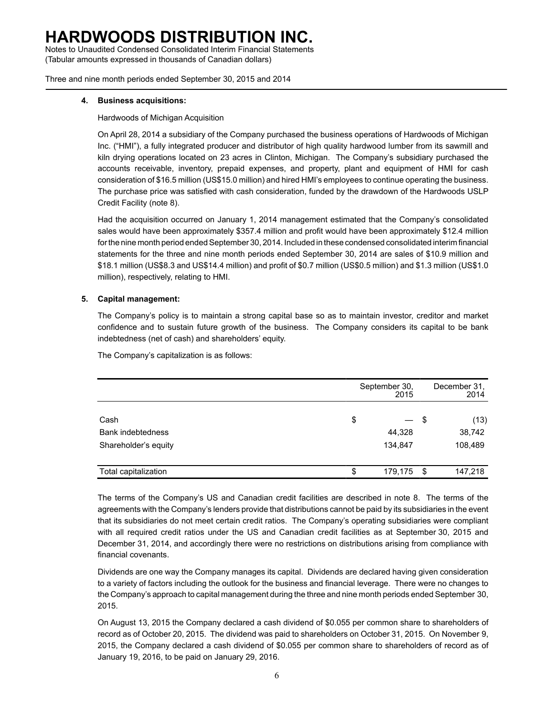Notes to Unaudited Condensed Consolidated Interim Financial Statements (Tabular amounts expressed in thousands of Canadian dollars)

Three and nine month periods ended September 30, 2015 and 2014

#### **4. Business acquisitions:**

Hardwoods of Michigan Acquisition

On April 28, 2014 a subsidiary of the Company purchased the business operations of Hardwoods of Michigan Inc. ("HMI"), a fully integrated producer and distributor of high quality hardwood lumber from its sawmill and kiln drying operations located on 23 acres in Clinton, Michigan. The Company's subsidiary purchased the accounts receivable, inventory, prepaid expenses, and property, plant and equipment of HMI for cash consideration of \$16.5 million (US\$15.0 million) and hired HMI's employees to continue operating the business. The purchase price was satisfied with cash consideration, funded by the drawdown of the Hardwoods USLP Credit Facility (note 8).

Had the acquisition occurred on January 1, 2014 management estimated that the Company's consolidated sales would have been approximately \$357.4 million and profit would have been approximately \$12.4 million for the nine month period ended September 30, 2014. Included in these condensed consolidated interim financial statements for the three and nine month periods ended September 30, 2014 are sales of \$10.9 million and \$18.1 million (US\$8.3 and US\$14.4 million) and profit of \$0.7 million (US\$0.5 million) and \$1.3 million (US\$1.0 million), respectively, relating to HMI.

#### **5. Capital management:**

The Company's policy is to maintain a strong capital base so as to maintain investor, creditor and market confidence and to sustain future growth of the business. The Company considers its capital to be bank indebtedness (net of cash) and shareholders' equity.

The Company's capitalization is as follows:

|                          | September 30,<br>2015 |      | December 31,<br>2014 |
|--------------------------|-----------------------|------|----------------------|
| Cash                     | \$                    | - \$ | (13)                 |
| <b>Bank indebtedness</b> | 44,328                |      | 38,742               |
| Shareholder's equity     | 134,847               |      | 108,489              |
| Total capitalization     | \$<br>179,175         | -\$  | 147,218              |

The terms of the Company's US and Canadian credit facilities are described in note 8. The terms of the agreements with the Company's lenders provide that distributions cannot be paid by its subsidiaries in the event that its subsidiaries do not meet certain credit ratios. The Company's operating subsidiaries were compliant with all required credit ratios under the US and Canadian credit facilities as at September 30, 2015 and December 31, 2014, and accordingly there were no restrictions on distributions arising from compliance with financial covenants.

Dividends are one way the Company manages its capital. Dividends are declared having given consideration to a variety of factors including the outlook for the business and financial leverage. There were no changes to the Company's approach to capital management during the three and nine month periods ended September 30, 2015.

On August 13, 2015 the Company declared a cash dividend of \$0.055 per common share to shareholders of record as of October 20, 2015. The dividend was paid to shareholders on October 31, 2015. On November 9, 2015, the Company declared a cash dividend of \$0.055 per common share to shareholders of record as of January 19, 2016, to be paid on January 29, 2016.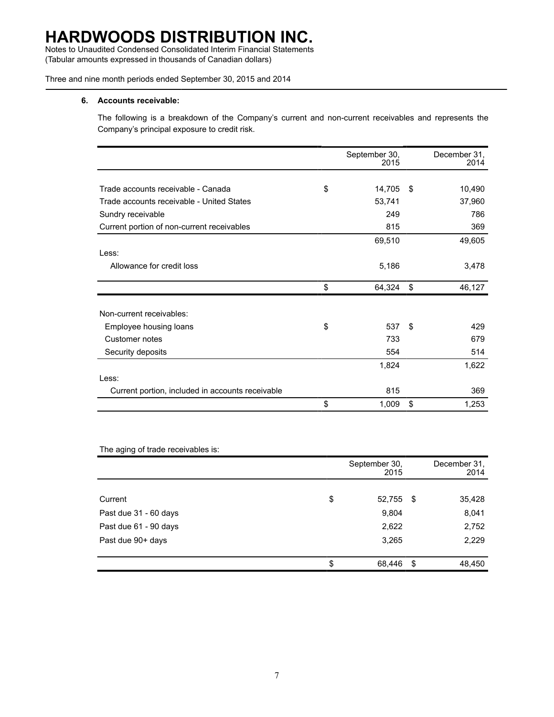Notes to Unaudited Condensed Consolidated Interim Financial Statements (Tabular amounts expressed in thousands of Canadian dollars)

Three and nine month periods ended September 30, 2015 and 2014

#### **6. Accounts receivable:**

The following is a breakdown of the Company's current and non-current receivables and represents the Company's principal exposure to credit risk.

|                                                  | September 30,<br>2015 |     | December 31,<br>2014 |
|--------------------------------------------------|-----------------------|-----|----------------------|
|                                                  |                       |     |                      |
| Trade accounts receivable - Canada               | \$<br>14,705          | -\$ | 10,490               |
| Trade accounts receivable - United States        | 53,741                |     | 37,960               |
| Sundry receivable                                | 249                   |     | 786                  |
| Current portion of non-current receivables       | 815                   |     | 369                  |
|                                                  | 69,510                |     | 49,605               |
| Less:                                            |                       |     |                      |
| Allowance for credit loss                        | 5,186                 |     | 3,478                |
|                                                  |                       |     |                      |
|                                                  | \$<br>64,324          | \$  | 46,127               |
|                                                  |                       |     |                      |
| Non-current receivables:                         |                       |     |                      |
| Employee housing loans                           | \$<br>537             | \$  | 429                  |
| Customer notes                                   | 733                   |     | 679                  |
| Security deposits                                | 554                   |     | 514                  |
|                                                  | 1,824                 |     | 1,622                |
| Less:                                            |                       |     |                      |
| Current portion, included in accounts receivable | 815                   |     | 369                  |
|                                                  | \$<br>1,009           | \$  | 1,253                |

#### The aging of trade receivables is:

|                       | September 30,<br>2015 |     | December 31,<br>2014 |
|-----------------------|-----------------------|-----|----------------------|
|                       |                       |     |                      |
| Current               | \$<br>52,755          | \$  | 35,428               |
| Past due 31 - 60 days | 9,804                 |     | 8,041                |
| Past due 61 - 90 days | 2,622                 |     | 2,752                |
| Past due 90+ days     | 3,265                 |     | 2,229                |
|                       |                       |     |                      |
|                       | \$<br>68,446          | -\$ | 48,450               |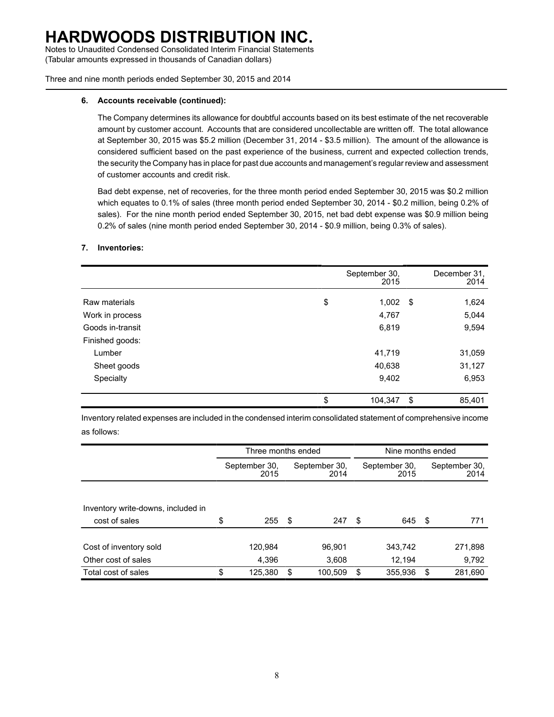Notes to Unaudited Condensed Consolidated Interim Financial Statements (Tabular amounts expressed in thousands of Canadian dollars)

Three and nine month periods ended September 30, 2015 and 2014

#### **6. Accounts receivable (continued):**

The Company determines its allowance for doubtful accounts based on its best estimate of the net recoverable amount by customer account. Accounts that are considered uncollectable are written off. The total allowance at September 30, 2015 was \$5.2 million (December 31, 2014 - \$3.5 million). The amount of the allowance is considered sufficient based on the past experience of the business, current and expected collection trends, the security the Company has in place for past due accounts and management's regular review and assessment of customer accounts and credit risk.

Bad debt expense, net of recoveries, for the three month period ended September 30, 2015 was \$0.2 million which equates to 0.1% of sales (three month period ended September 30, 2014 - \$0.2 million, being 0.2% of sales). For the nine month period ended September 30, 2015, net bad debt expense was \$0.9 million being 0.2% of sales (nine month period ended September 30, 2014 - \$0.9 million, being 0.3% of sales).

#### **7. Inventories:**

|                  | September 30,<br>2015 |     | December 31,<br>2014 |
|------------------|-----------------------|-----|----------------------|
|                  |                       |     |                      |
| Raw materials    | \$<br>1,002           | -\$ | 1,624                |
| Work in process  | 4,767                 |     | 5,044                |
| Goods in-transit | 6,819                 |     | 9,594                |
| Finished goods:  |                       |     |                      |
| Lumber           | 41,719                |     | 31,059               |
| Sheet goods      | 40,638                |     | 31,127               |
| Specialty        | 9,402                 |     | 6,953                |
|                  | \$<br>104,347         | \$  | 85,401               |

Inventory related expenses are included in the condensed interim consolidated statement of comprehensive income as follows:

|                                    | Three months ended    |      |                       |    |                       | Nine months ended |                       |  |
|------------------------------------|-----------------------|------|-----------------------|----|-----------------------|-------------------|-----------------------|--|
|                                    | September 30,<br>2015 |      | September 30.<br>2014 |    | September 30,<br>2015 |                   | September 30.<br>2014 |  |
|                                    |                       |      |                       |    |                       |                   |                       |  |
| Inventory write-downs, included in |                       |      |                       |    |                       |                   |                       |  |
| cost of sales                      | \$<br>255             | - \$ | 247                   | \$ | 645                   | - \$              | 771                   |  |
|                                    |                       |      |                       |    |                       |                   |                       |  |
| Cost of inventory sold             | 120,984               |      | 96,901                |    | 343,742               |                   | 271,898               |  |
| Other cost of sales                | 4.396                 |      | 3,608                 |    | 12.194                |                   | 9,792                 |  |
| Total cost of sales                | \$<br>125,380         | \$   | 100,509               | S  | 355.936               | \$                | 281,690               |  |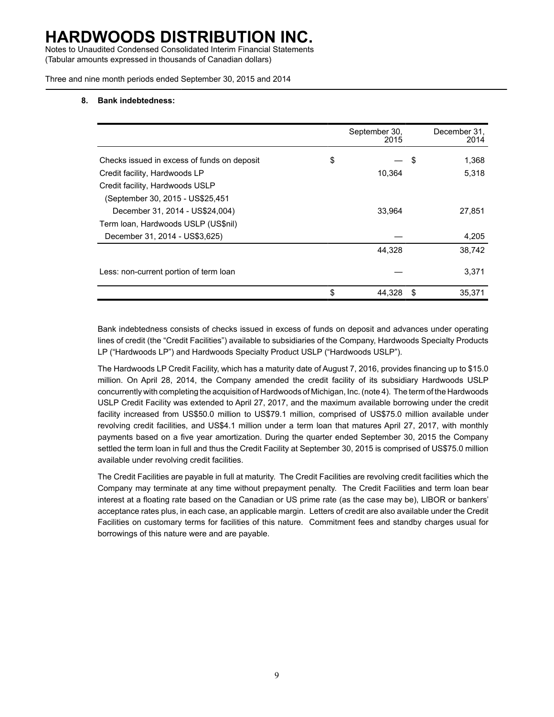Notes to Unaudited Condensed Consolidated Interim Financial Statements (Tabular amounts expressed in thousands of Canadian dollars)

Three and nine month periods ended September 30, 2015 and 2014

#### **8. Bank indebtedness:**

|                                             | September 30,<br>2015 | December 31,<br>2014 |
|---------------------------------------------|-----------------------|----------------------|
| Checks issued in excess of funds on deposit | \$                    | \$<br>1,368          |
| Credit facility, Hardwoods LP               | 10,364                | 5,318                |
| Credit facility, Hardwoods USLP             |                       |                      |
| (September 30, 2015 - US\$25,451            |                       |                      |
| December 31, 2014 - US\$24,004)             | 33.964                | 27,851               |
| Term Ioan, Hardwoods USLP (US\$nil)         |                       |                      |
| December 31, 2014 - US\$3,625)              |                       | 4,205                |
|                                             | 44,328                | 38,742               |
| Less: non-current portion of term loan      |                       | 3,371                |
|                                             | \$<br>44,328          | \$<br>35,371         |

Bank indebtedness consists of checks issued in excess of funds on deposit and advances under operating lines of credit (the "Credit Facilities") available to subsidiaries of the Company, Hardwoods Specialty Products LP ("Hardwoods LP") and Hardwoods Specialty Product USLP ("Hardwoods USLP").

The Hardwoods LP Credit Facility, which has a maturity date of August 7, 2016, provides financing up to \$15.0 million. On April 28, 2014, the Company amended the credit facility of its subsidiary Hardwoods USLP concurrently with completing the acquisition of Hardwoods of Michigan, Inc. (note 4). The term of the Hardwoods USLP Credit Facility was extended to April 27, 2017, and the maximum available borrowing under the credit facility increased from US\$50.0 million to US\$79.1 million, comprised of US\$75.0 million available under revolving credit facilities, and US\$4.1 million under a term loan that matures April 27, 2017, with monthly payments based on a five year amortization. During the quarter ended September 30, 2015 the Company settled the term loan in full and thus the Credit Facility at September 30, 2015 is comprised of US\$75.0 million available under revolving credit facilities.

The Credit Facilities are payable in full at maturity. The Credit Facilities are revolving credit facilities which the Company may terminate at any time without prepayment penalty. The Credit Facilities and term loan bear interest at a floating rate based on the Canadian or US prime rate (as the case may be), LIBOR or bankers' acceptance rates plus, in each case, an applicable margin. Letters of credit are also available under the Credit Facilities on customary terms for facilities of this nature. Commitment fees and standby charges usual for borrowings of this nature were and are payable.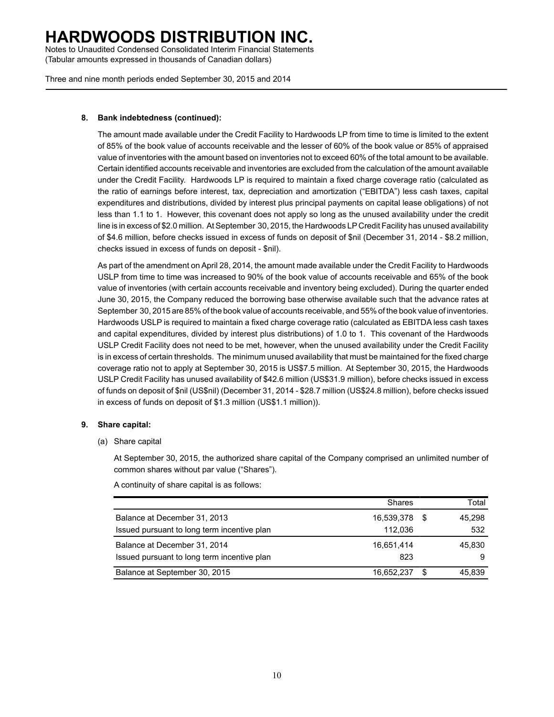Notes to Unaudited Condensed Consolidated Interim Financial Statements (Tabular amounts expressed in thousands of Canadian dollars)

Three and nine month periods ended September 30, 2015 and 2014

#### **8. Bank indebtedness (continued):**

The amount made available under the Credit Facility to Hardwoods LP from time to time is limited to the extent of 85% of the book value of accounts receivable and the lesser of 60% of the book value or 85% of appraised value of inventories with the amount based on inventories not to exceed 60% of the total amount to be available. Certain identified accounts receivable and inventories are excluded from the calculation of the amount available under the Credit Facility. Hardwoods LP is required to maintain a fixed charge coverage ratio (calculated as the ratio of earnings before interest, tax, depreciation and amortization ("EBITDA") less cash taxes, capital expenditures and distributions, divided by interest plus principal payments on capital lease obligations) of not less than 1.1 to 1. However, this covenant does not apply so long as the unused availability under the credit line is in excess of \$2.0 million. At September 30, 2015, the Hardwoods LP Credit Facility has unused availability of \$4.6 million, before checks issued in excess of funds on deposit of \$nil (December 31, 2014 - \$8.2 million, checks issued in excess of funds on deposit - \$nil).

As part of the amendment on April 28, 2014, the amount made available under the Credit Facility to Hardwoods USLP from time to time was increased to 90% of the book value of accounts receivable and 65% of the book value of inventories (with certain accounts receivable and inventory being excluded). During the quarter ended June 30, 2015, the Company reduced the borrowing base otherwise available such that the advance rates at September 30, 2015 are 85% of the book value of accounts receivable, and 55% of the book value of inventories. Hardwoods USLP is required to maintain a fixed charge coverage ratio (calculated as EBITDA less cash taxes and capital expenditures, divided by interest plus distributions) of 1.0 to 1. This covenant of the Hardwoods USLP Credit Facility does not need to be met, however, when the unused availability under the Credit Facility is in excess of certain thresholds. The minimum unused availability that must be maintained for the fixed charge coverage ratio not to apply at September 30, 2015 is US\$7.5 million. At September 30, 2015, the Hardwoods USLP Credit Facility has unused availability of \$42.6 million (US\$31.9 million), before checks issued in excess of funds on deposit of \$nil (US\$nil) (December 31, 2014 - \$28.7 million (US\$24.8 million), before checks issued in excess of funds on deposit of \$1.3 million (US\$1.1 million)).

#### **9. Share capital:**

(a) Share capital

At September 30, 2015, the authorized share capital of the Company comprised an unlimited number of common shares without par value ("Shares").

A continuity of share capital is as follows:

|                                             | <b>Shares</b> |     | Total  |
|---------------------------------------------|---------------|-----|--------|
| Balance at December 31, 2013                | 16,539,378    | - 5 | 45.298 |
| Issued pursuant to long term incentive plan | 112.036       |     | 532    |
| Balance at December 31, 2014                | 16.651.414    |     | 45.830 |
| Issued pursuant to long term incentive plan | 823           |     | 9      |
| Balance at September 30, 2015               | 16.652.237    | S   | 45.839 |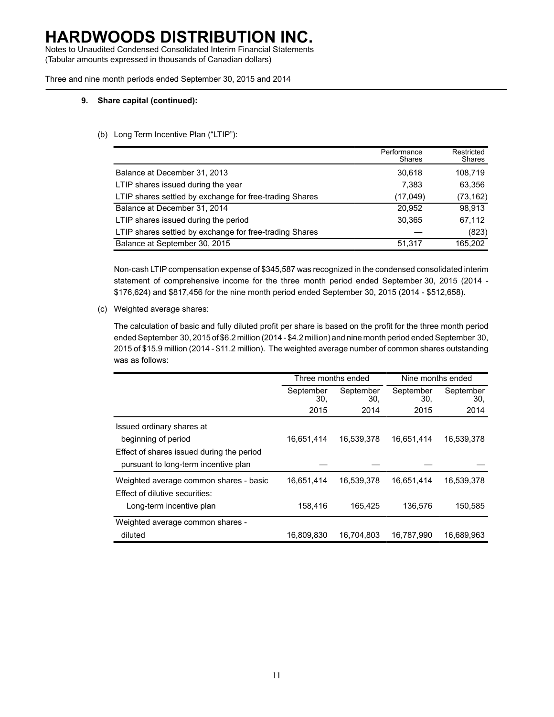Notes to Unaudited Condensed Consolidated Interim Financial Statements (Tabular amounts expressed in thousands of Canadian dollars)

Three and nine month periods ended September 30, 2015 and 2014

#### **9. Share capital (continued):**

#### (b) Long Term Incentive Plan ("LTIP"):

|                                                         | Performance<br>Shares | Restricted<br>Shares |
|---------------------------------------------------------|-----------------------|----------------------|
| Balance at December 31, 2013                            | 30,618                | 108,719              |
| LTIP shares issued during the year                      | 7.383                 | 63,356               |
| LTIP shares settled by exchange for free-trading Shares | (17,049)              | (73,162)             |
| Balance at December 31, 2014                            | 20,952                | 98.913               |
| LTIP shares issued during the period                    | 30,365                | 67,112               |
| LTIP shares settled by exchange for free-trading Shares |                       | (823)                |
| Balance at September 30, 2015                           | 51,317                | 165.202              |

Non-cash LTIP compensation expense of \$345,587 was recognized in the condensed consolidated interim statement of comprehensive income for the three month period ended September 30, 2015 (2014 - \$176,624) and \$817,456 for the nine month period ended September 30, 2015 (2014 - \$512,658).

(c) Weighted average shares:

The calculation of basic and fully diluted profit per share is based on the profit for the three month period ended September 30, 2015 of \$6.2 million (2014 - \$4.2 million) and nine month period ended September 30, 2015 of \$15.9 million (2014 - \$11.2 million). The weighted average number of common shares outstanding was as follows:

|                                           | Three months ended |                  | Nine months ended |                  |  |  |
|-------------------------------------------|--------------------|------------------|-------------------|------------------|--|--|
|                                           | September<br>30.   | September<br>30. | September<br>30.  | September<br>30, |  |  |
|                                           | 2015               | 2014             | 2015              | 2014             |  |  |
| Issued ordinary shares at                 |                    |                  |                   |                  |  |  |
| beginning of period                       | 16,651,414         | 16,539,378       | 16,651,414        | 16,539,378       |  |  |
| Effect of shares issued during the period |                    |                  |                   |                  |  |  |
| pursuant to long-term incentive plan      |                    |                  |                   |                  |  |  |
| Weighted average common shares - basic    | 16,651,414         | 16,539,378       | 16,651,414        | 16,539,378       |  |  |
| Effect of dilutive securities:            |                    |                  |                   |                  |  |  |
| Long-term incentive plan                  | 158,416            | 165,425          | 136,576           | 150,585          |  |  |
| Weighted average common shares -          |                    |                  |                   |                  |  |  |
| diluted                                   | 16.809.830         | 16.704.803       | 16.787.990        | 16.689.963       |  |  |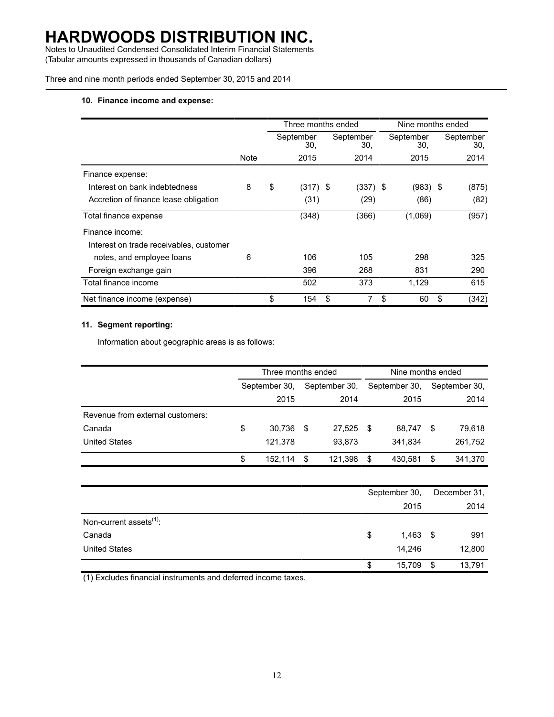Notes to Unaudited Condensed Consolidated Interim Financial Statements (Tabular amounts expressed in thousands of Canadian dollars)

Three and nine month periods ended September 30, 2015 and 2014

#### **10. Finance income and expense:**

|                                         |      | Three months ended |                  |    |                  |    | Nine months ended |    |                  |  |
|-----------------------------------------|------|--------------------|------------------|----|------------------|----|-------------------|----|------------------|--|
|                                         |      |                    | September<br>30, |    | September<br>30. |    | September<br>30.  |    | September<br>30, |  |
|                                         | Note |                    | 2015             |    | 2014             |    | 2015              |    | 2014             |  |
| Finance expense:                        |      |                    |                  |    |                  |    |                   |    |                  |  |
| Interest on bank indebtedness           | 8    | \$                 | $(317)$ \$       |    | $(337)$ \$       |    | (983) \$          |    | (875)            |  |
| Accretion of finance lease obligation   |      |                    | (31)             |    | (29)             |    | (86)              |    | (82)             |  |
| Total finance expense                   |      |                    | (348)            |    | (366)            |    | (1,069)           |    | (957)            |  |
| Finance income:                         |      |                    |                  |    |                  |    |                   |    |                  |  |
| Interest on trade receivables, customer |      |                    |                  |    |                  |    |                   |    |                  |  |
| notes, and employee loans               | 6    |                    | 106              |    | 105              |    | 298               |    | 325              |  |
| Foreign exchange gain                   |      |                    | 396              |    | 268              |    | 831               |    | 290              |  |
| Total finance income                    |      |                    | 502              |    | 373              |    | 1,129             |    | 615              |  |
| Net finance income (expense)            |      | \$                 | 154              | \$ | 7                | \$ | 60                | \$ | (342)            |  |

#### **11. Segment reporting:**

Information about geographic areas is as follows:

|                                  |               | Three months ended |               |         |               | Nine months ended |    |               |  |
|----------------------------------|---------------|--------------------|---------------|---------|---------------|-------------------|----|---------------|--|
|                                  | September 30, |                    | September 30, |         | September 30, |                   |    | September 30, |  |
|                                  |               | 2015               |               | 2014    |               | 2015              |    | 2014          |  |
| Revenue from external customers: |               |                    |               |         |               |                   |    |               |  |
| Canada                           | \$            | 30.736             | \$            | 27.525  | -S            | 88,747            | S  | 79.618        |  |
| <b>United States</b>             |               | 121,378            |               | 93,873  |               | 341,834           |    | 261,752       |  |
|                                  |               | 152,114            | \$            | 121,398 | \$            | 430,581           | \$ | 341,370       |  |

|                                     | September 30, |    | December 31, |  |
|-------------------------------------|---------------|----|--------------|--|
|                                     | 2015          |    | 2014         |  |
| Non-current assets <sup>(1)</sup> : |               |    |              |  |
| Canada                              | \$<br>1,463   | \$ | 991          |  |
| <b>United States</b>                | 14,246        |    | 12,800       |  |
|                                     | \$<br>15,709  | \$ | 13,791       |  |

(1) Excludes financial instruments and deferred income taxes.